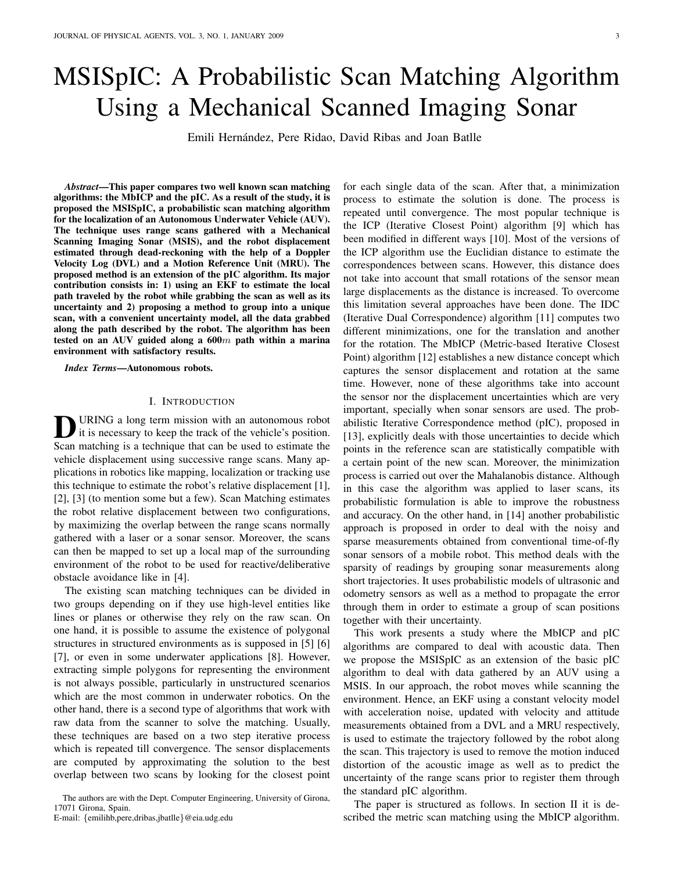# MSISpIC: A Probabilistic Scan Matching Algorithm Using a Mechanical Scanned Imaging Sonar

Emili Hernández, Pere Ridao, David Ribas and Joan Batlle

*Abstract*—This paper compares two well known scan matching algorithms: the MbICP and the pIC. As a result of the study, it is proposed the MSISpIC, a probabilistic scan matching algorithm for the localization of an Autonomous Underwater Vehicle (AUV). The technique uses range scans gathered with a Mechanical Scanning Imaging Sonar (MSIS), and the robot displacement estimated through dead-reckoning with the help of a Doppler Velocity Log (DVL) and a Motion Reference Unit (MRU). The proposed method is an extension of the pIC algorithm. Its major contribution consists in: 1) using an EKF to estimate the local path traveled by the robot while grabbing the scan as well as its uncertainty and 2) proposing a method to group into a unique scan, with a convenient uncertainty model, all the data grabbed along the path described by the robot. The algorithm has been tested on an AUV guided along a  $600m$  path within a marina environment with satisfactory results.

*Index Terms*—Autonomous robots.

## I. INTRODUCTION

**D** URING a long term mission with an autonomous robot<br>it is necessary to keep the track of the vehicle's position. URING a long term mission with an autonomous robot Scan matching is a technique that can be used to estimate the vehicle displacement using successive range scans. Many applications in robotics like mapping, localization or tracking use this technique to estimate the robot's relative displacement [1], [2], [3] (to mention some but a few). Scan Matching estimates the robot relative displacement between two configurations, by maximizing the overlap between the range scans normally gathered with a laser or a sonar sensor. Moreover, the scans can then be mapped to set up a local map of the surrounding environment of the robot to be used for reactive/deliberative obstacle avoidance like in [4].

The existing scan matching techniques can be divided in two groups depending on if they use high-level entities like lines or planes or otherwise they rely on the raw scan. On one hand, it is possible to assume the existence of polygonal structures in structured environments as is supposed in [5] [6] [7], or even in some underwater applications [8]. However, extracting simple polygons for representing the environment is not always possible, particularly in unstructured scenarios which are the most common in underwater robotics. On the other hand, there is a second type of algorithms that work with raw data from the scanner to solve the matching. Usually, these techniques are based on a two step iterative process which is repeated till convergence. The sensor displacements are computed by approximating the solution to the best overlap between two scans by looking for the closest point

The authors are with the Dept. Computer Engineering, University of Girona, 17071 Girona, Spain.

E-mail: {emilihb,pere,dribas,jbatlle}@eia.udg.edu

for each single data of the scan. After that, a minimization process to estimate the solution is done. The process is repeated until convergence. The most popular technique is the ICP (Iterative Closest Point) algorithm [9] which has been modified in different ways [10]. Most of the versions of the ICP algorithm use the Euclidian distance to estimate the correspondences between scans. However, this distance does not take into account that small rotations of the sensor mean large displacements as the distance is increased. To overcome this limitation several approaches have been done. The IDC (Iterative Dual Correspondence) algorithm [11] computes two different minimizations, one for the translation and another for the rotation. The MbICP (Metric-based Iterative Closest Point) algorithm [12] establishes a new distance concept which captures the sensor displacement and rotation at the same time. However, none of these algorithms take into account the sensor nor the displacement uncertainties which are very important, specially when sonar sensors are used. The probabilistic Iterative Correspondence method (pIC), proposed in [13], explicitly deals with those uncertainties to decide which points in the reference scan are statistically compatible with a certain point of the new scan. Moreover, the minimization process is carried out over the Mahalanobis distance. Although in this case the algorithm was applied to laser scans, its probabilistic formulation is able to improve the robustness and accuracy. On the other hand, in [14] another probabilistic approach is proposed in order to deal with the noisy and sparse measurements obtained from conventional time-of-fly sonar sensors of a mobile robot. This method deals with the sparsity of readings by grouping sonar measurements along short trajectories. It uses probabilistic models of ultrasonic and odometry sensors as well as a method to propagate the error through them in order to estimate a group of scan positions together with their uncertainty.

This work presents a study where the MbICP and pIC algorithms are compared to deal with acoustic data. Then we propose the MSISpIC as an extension of the basic pIC algorithm to deal with data gathered by an AUV using a MSIS. In our approach, the robot moves while scanning the environment. Hence, an EKF using a constant velocity model with acceleration noise, updated with velocity and attitude measurements obtained from a DVL and a MRU respectively, is used to estimate the trajectory followed by the robot along the scan. This trajectory is used to remove the motion induced distortion of the acoustic image as well as to predict the uncertainty of the range scans prior to register them through the standard pIC algorithm.

The paper is structured as follows. In section II it is described the metric scan matching using the MbICP algorithm.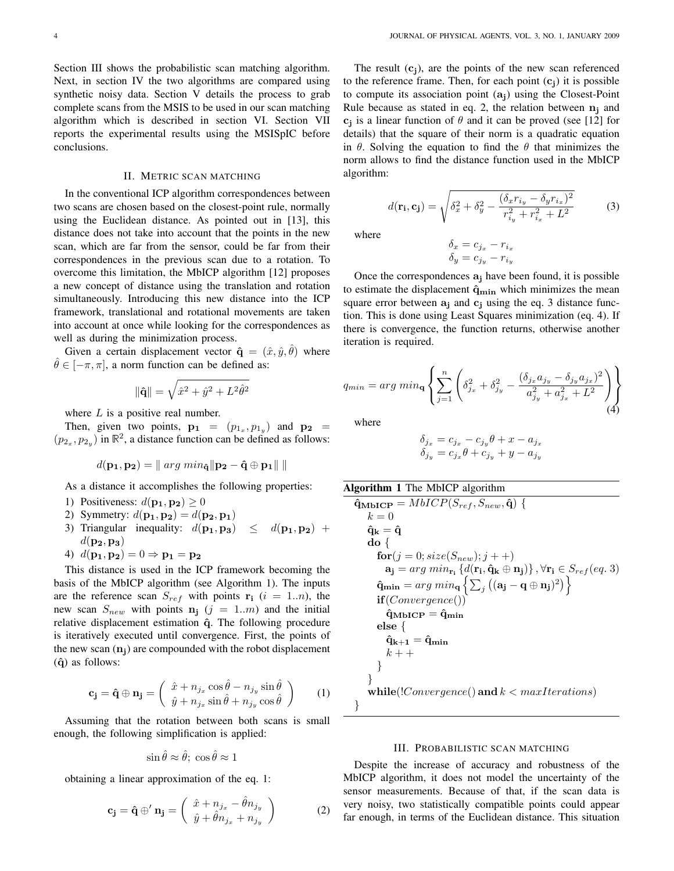Section III shows the probabilistic scan matching algorithm. Next, in section IV the two algorithms are compared using synthetic noisy data. Section V details the process to grab complete scans from the MSIS to be used in our scan matching algorithm which is described in section VI. Section VII reports the experimental results using the MSISpIC before conclusions.

#### II. METRIC SCAN MATCHING

In the conventional ICP algorithm correspondences between two scans are chosen based on the closest-point rule, normally using the Euclidean distance. As pointed out in [13], this distance does not take into account that the points in the new scan, which are far from the sensor, could be far from their correspondences in the previous scan due to a rotation. To overcome this limitation, the MbICP algorithm [12] proposes a new concept of distance using the translation and rotation simultaneously. Introducing this new distance into the ICP framework, translational and rotational movements are taken into account at once while looking for the correspondences as well as during the minimization process.

Given a certain displacement vector  $\hat{\mathbf{q}} = (\hat{x}, \hat{y}, \hat{\theta})$  where  $\hat{\theta} \in [-\pi, \pi]$ , a norm function can be defined as:

$$
\|\hat{\mathbf{q}}\| = \sqrt{\hat{x}^2 + \hat{y}^2 + L^2 \hat{\theta}^2}
$$

where  $L$  is a positive real number.

Then, given two points,  $\mathbf{p_1} = (p_{1_x}, p_{1_y})$  and  $\mathbf{p_2} =$  $(p_{2_x}, p_{2_y})$  in  $\mathbb{R}^2$ , a distance function can be defined as follows:

$$
d(\mathbf{p_1}, \mathbf{p_2}) = || \arg min_{\mathbf{\hat{q}}} || \mathbf{p_2} - \mathbf{\hat{q}} \oplus \mathbf{p_1} || \, ||
$$

As a distance it accomplishes the following properties:

- 1) Positiveness:  $d(\mathbf{p_1}, \mathbf{p_2}) \ge 0$
- 2) Symmetry:  $d(\mathbf{p_1}, \mathbf{p_2}) = d(\mathbf{p_2}, \mathbf{p_1})$
- 3) Triangular inequality:  $d(\mathbf{p_1}, \mathbf{p_3}) \leq d(\mathbf{p_1}, \mathbf{p_2}) +$  $d(\mathbf{p_2}, \mathbf{p_3})$
- 4)  $d(\mathbf{p_1}, \mathbf{p_2}) = 0 \Rightarrow \mathbf{p_1} = \mathbf{p_2}$

This distance is used in the ICP framework becoming the basis of the MbICP algorithm (see Algorithm 1). The inputs are the reference scan  $S_{ref}$  with points  $\mathbf{r_i}$  (i = 1..*n*), the new scan  $S_{new}$  with points  $n_j$  (j = 1.m) and the initial relative displacement estimation  $\hat{q}$ . The following procedure is iteratively executed until convergence. First, the points of the new scan  $(n<sub>i</sub>)$  are compounded with the robot displacement  $(\hat{q})$  as follows:

$$
\mathbf{c}_{\mathbf{j}} = \hat{\mathbf{q}} \oplus \mathbf{n}_{\mathbf{j}} = \begin{pmatrix} \hat{x} + n_{j_x} \cos \hat{\theta} - n_{j_y} \sin \hat{\theta} \\ \hat{y} + n_{j_x} \sin \hat{\theta} + n_{j_y} \cos \hat{\theta} \end{pmatrix} (1)
$$

Assuming that the rotation between both scans is small enough, the following simplification is applied:

$$
\sin \hat{\theta} \approx \hat{\theta}; \cos \hat{\theta} \approx 1
$$

obtaining a linear approximation of the eq. 1:

$$
\mathbf{c}_{\mathbf{j}} = \hat{\mathbf{q}} \oplus' \mathbf{n}_{\mathbf{j}} = \begin{pmatrix} \hat{x} + n_{j_x} - \hat{\theta} n_{j_y} \\ \hat{y} + \hat{\theta} n_{j_x} + n_{j_y} \end{pmatrix}
$$
 (2)

The result  $(c<sub>i</sub>)$ , are the points of the new scan referenced to the reference frame. Then, for each point  $(c_i)$  it is possible to compute its association point  $(a<sub>i</sub>)$  using the Closest-Point Rule because as stated in eq. 2, the relation between  $n_i$  and  $c_j$  is a linear function of  $\theta$  and it can be proved (see [12] for details) that the square of their norm is a quadratic equation in  $\theta$ . Solving the equation to find the  $\theta$  that minimizes the norm allows to find the distance function used in the MbICP algorithm:

$$
d(\mathbf{r_i}, \mathbf{c_j}) = \sqrt{\delta_x^2 + \delta_y^2 - \frac{(\delta_x r_{i_y} - \delta_y r_{i_x})^2}{r_{i_y}^2 + r_{i_x}^2 + L^2}}
$$
(3)

where

$$
\begin{aligned}\n\delta_x &= c_{j_x} - r_{i_x} \\
\delta_y &= c_{j_y} - r_{i_y}\n\end{aligned}
$$

Once the correspondences  $a_j$  have been found, it is possible to estimate the displacement  $\hat{q}_{\min}$  which minimizes the mean square error between  $a_j$  and  $c_j$  using the eq. 3 distance function. This is done using Least Squares minimization (eq. 4). If there is convergence, the function returns, otherwise another iteration is required.

$$
q_{min} = arg min_{\mathbf{q}} \left\{ \sum_{j=1}^{n} \left( \delta_{j_x}^2 + \delta_{j_y}^2 - \frac{(\delta_{j_x} a_{j_y} - \delta_{j_y} a_{j_x})^2}{a_{j_y}^2 + a_{j_x}^2 + L^2} \right) \right\}
$$
(4)

where

$$
\begin{aligned}\n\delta_{j_x} &= c_{j_x} - c_{j_y}\theta + x - a_{j_x} \\
\delta_{j_y} &= c_{j_x}\theta + c_{j_y} + y - a_{j_y}\n\end{aligned}
$$

Algorithm 1 The MbICP algorithm\n
$$
\hat{q}_{MbICP} = MbICP(S_{ref}, S_{new}, \hat{q}) \{ k = 0
$$
\n
$$
\hat{q}_k = \hat{q}
$$
\ndo {\n for (j = 0; size(S\_{new}); j++)\n a\_j = arg min\_{r\_i} {d(r\_i, \hat{q}\_k \oplus n\_j)}, \forall r\_i \in S\_{ref}(eq. 3)\n \hat{q}\_{min} = arg min\_{q} {\sum\_{j} ((a\_j - q \oplus n\_j)^2)}\n if (Convergence())\n \hat{q}\_{MbICP} = \hat{q}\_{min}\n else {\n \hat{q}\_{k+1} = \hat{q}\_{min}\n k++\n }\n}\nwhile (!Convergence() and k < maxIterations)

## III. PROBABILISTIC SCAN MATCHING

Despite the increase of accuracy and robustness of the MbICP algorithm, it does not model the uncertainty of the sensor measurements. Because of that, if the scan data is very noisy, two statistically compatible points could appear far enough, in terms of the Euclidean distance. This situation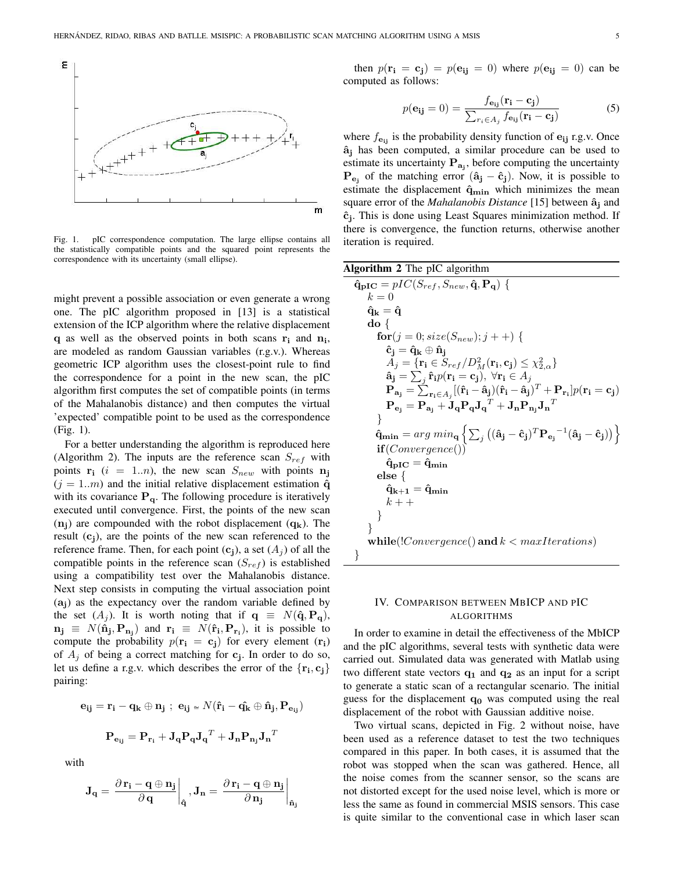

Fig. 1. pIC correspondence computation. The large ellipse contains all the statistically compatible points and the squared point represents the correspondence with its uncertainty (small ellipse).

might prevent a possible association or even generate a wrong one. The pIC algorithm proposed in [13] is a statistical extension of the ICP algorithm where the relative displacement  $q$  as well as the observed points in both scans  $r_i$  and  $n_i$ , are modeled as random Gaussian variables (r.g.v.). Whereas geometric ICP algorithm uses the closest-point rule to find the correspondence for a point in the new scan, the pIC algorithm first computes the set of compatible points (in terms of the Mahalanobis distance) and then computes the virtual 'expected' compatible point to be used as the correspondence (Fig. 1).

For a better understanding the algorithm is reproduced here (Algorithm 2). The inputs are the reference scan  $S_{ref}$  with points  $\mathbf{r_i}$  (i = 1..*n*), the new scan  $S_{new}$  with points  $\mathbf{n_j}$  $(j = 1..m)$  and the initial relative displacement estimation  $\hat{q}$ with its covariance  $P_{q}$ . The following procedure is iteratively executed until convergence. First, the points of the new scan  $(n_i)$  are compounded with the robot displacement  $(q_k)$ . The result  $(c<sub>i</sub>)$ , are the points of the new scan referenced to the reference frame. Then, for each point  $(c_i)$ , a set  $(A_i)$  of all the compatible points in the reference scan  $(S_{ref})$  is established using a compatibility test over the Mahalanobis distance. Next step consists in computing the virtual association point  $(a_i)$  as the expectancy over the random variable defined by the set  $(A_j)$ . It is worth noting that if  $q \equiv N(\hat{q}, P_q)$ ,  $\mathbf{n_j} \equiv N(\hat{\mathbf{n}}_j, \mathbf{P}_{\mathbf{n}_j})$  and  $\mathbf{r_i} \equiv N(\hat{\mathbf{r}}_i, \mathbf{P}_{\mathbf{r}_i})$ , it is possible to compute the probability  $p(\mathbf{r_i} = \mathbf{c_j})$  for every element  $(\mathbf{r_i})$ of  $A_j$  of being a correct matching for  $c_j$ . In order to do so, let us define a r.g.v. which describes the error of the  $\{r_i, c_j\}$ pairing:

$$
\begin{array}{c} \mathbf{e_{ij}} = \mathbf{r_i} - \mathbf{q_k} \oplus \mathbf{n_j} \; ; \; \mathbf{e_{ij}} \simeq N(\mathbf{\hat{r}_i} - \mathbf{\hat{q_k}} \oplus \mathbf{\hat{n}_j}, \mathbf{P_{e_{ij}}}) \\\\ \mathbf{P_{e_{ij}}} = \mathbf{P_{r_i}} + \mathbf{J_q} \mathbf{P_q} \mathbf{J_q}^T + \mathbf{J_n} \mathbf{P_{n_j}} \mathbf{J_n}^T \end{array}
$$

with

$$
\mathbf{J}_\mathbf{q} = \left.\frac{\partial \, \mathbf{r}_i - \mathbf{q} \oplus \mathbf{n}_j}{\partial \, \mathbf{q}}\right|_{\mathbf{\hat{q}}}, \mathbf{J}_\mathbf{n} = \left.\frac{\partial \, \mathbf{r}_i - \mathbf{q} \oplus \mathbf{n}_j}{\partial \, \mathbf{n}_j}\right|_{\mathbf{\hat{n}}_j}
$$

then  $p(\mathbf{r_i} = \mathbf{c_j}) = p(\mathbf{e_{ij}} = 0)$  where  $p(\mathbf{e_{ij}} = 0)$  can be computed as follows:

$$
p(\mathbf{e_{ij}} = 0) = \frac{f_{\mathbf{e_{ij}}}(\mathbf{r_i} - \mathbf{c_j})}{\sum_{r_i \in A_j} f_{\mathbf{e_{ij}}}(\mathbf{r_i} - \mathbf{c_j})}
$$
(5)

where  $f_{\text{e}_{ij}}$  is the probability density function of  $\text{e}_{ij}$  r.g.v. Once  $\hat{a}_j$  has been computed, a similar procedure can be used to estimate its uncertainty  $P_{a_j}$ , before computing the uncertainty  $P_{e_j}$  of the matching error  $(\hat{a}_j - \hat{c}_j)$ . Now, it is possible to estimate the displacement  $\hat{q}_{\text{min}}$  which minimizes the mean square error of the *Mahalanobis Distance* [15] between  $\hat{a}_i$  and  $\hat{c}_j$ . This is done using Least Squares minimization method. If there is convergence, the function returns, otherwise another iteration is required.

| Algorithm 2 The pIC algorithm                                                                                                                                                                                      |
|--------------------------------------------------------------------------------------------------------------------------------------------------------------------------------------------------------------------|
| $\hat{\mathbf{q}}_{\text{pIC}} = pIC(S_{ref}, S_{new}, \hat{\mathbf{q}}, \mathbf{P}_{\mathbf{q}})$ {                                                                                                               |
| $k=0$                                                                                                                                                                                                              |
| $\hat{\mathbf{q}}_{\mathbf{k}} = \hat{\mathbf{q}}$                                                                                                                                                                 |
| $\mathbf{do} \{$                                                                                                                                                                                                   |
| $\mathbf{for}(j=0; size(S_{new}); j++)$ {                                                                                                                                                                          |
| $\hat{\mathbf{c}}_{\mathbf{i}} = \hat{\mathbf{q}}_{\mathbf{k}} \oplus \hat{\mathbf{n}}_{\mathbf{i}}$                                                                                                               |
| $A_i = \{ \mathbf{r_i} \in S_{ref} / D_M^2(\mathbf{r_i}, \mathbf{c_i}) \leq \chi_{2, \alpha}^2 \}$                                                                                                                 |
| $\mathbf{\hat{a}_j} = \sum_i \mathbf{\hat{r}}_i p(\mathbf{r_i} = \mathbf{c_j}), \ \forall \mathbf{r_i} \in A_j$                                                                                                    |
| $\mathbf{P}_{\mathbf{a_j}} = \sum_{\mathbf{r_i} \in A_i} [(\hat{\mathbf{r}}_i - \hat{\mathbf{a}}_j)(\hat{\mathbf{r}}_i - \hat{\mathbf{a}}_j)^T + \mathbf{P}_{\mathbf{r_i}}] p(\mathbf{r_i} = \mathbf{c_j})$        |
| $\mathbf{P}_{\mathbf{e_j}} = \mathbf{P}_{\mathbf{a_j}} + \mathbf{J_q} \mathbf{P_q} \mathbf{J_q}^T + \mathbf{J_n} \mathbf{P_{n_i}} \mathbf{J_n}^T$                                                                  |
|                                                                                                                                                                                                                    |
| $\mathbf{\hat{q}_{min}} = arg \ min_{\mathbf{q}} \left\{ \sum_{j} \left( (\mathbf{\hat{a}_{j}} - \mathbf{\hat{c}_{j}})^{T} \mathbf{P_{e_{j}}}^{-1} (\mathbf{\hat{a}_{j}} - \mathbf{\hat{c}_{j}}) \right) \right\}$ |
| if(Convergence()                                                                                                                                                                                                   |
| $\hat{\mathbf{q}}_{\text{pIC}} = \hat{\mathbf{q}}_{\text{min}}$                                                                                                                                                    |
| else $\left\{ \right.$                                                                                                                                                                                             |
| $\mathrm{\hat{q}_{k+1}} = \mathrm{\hat{q}_{min}}$                                                                                                                                                                  |
| $k + +$                                                                                                                                                                                                            |
|                                                                                                                                                                                                                    |
| ł                                                                                                                                                                                                                  |
| while(! $Convergence()$ and $k < maxIterations)$                                                                                                                                                                   |
| $\left\{ \right\}$                                                                                                                                                                                                 |

## IV. COMPARISON BETWEEN MBICP AND PIC ALGORITHMS

In order to examine in detail the effectiveness of the MbICP and the pIC algorithms, several tests with synthetic data were carried out. Simulated data was generated with Matlab using two different state vectors  $q_1$  and  $q_2$  as an input for a script to generate a static scan of a rectangular scenario. The initial guess for the displacement  $q_0$  was computed using the real displacement of the robot with Gaussian additive noise.

Two virtual scans, depicted in Fig. 2 without noise, have been used as a reference dataset to test the two techniques compared in this paper. In both cases, it is assumed that the robot was stopped when the scan was gathered. Hence, all the noise comes from the scanner sensor, so the scans are not distorted except for the used noise level, which is more or less the same as found in commercial MSIS sensors. This case is quite similar to the conventional case in which laser scan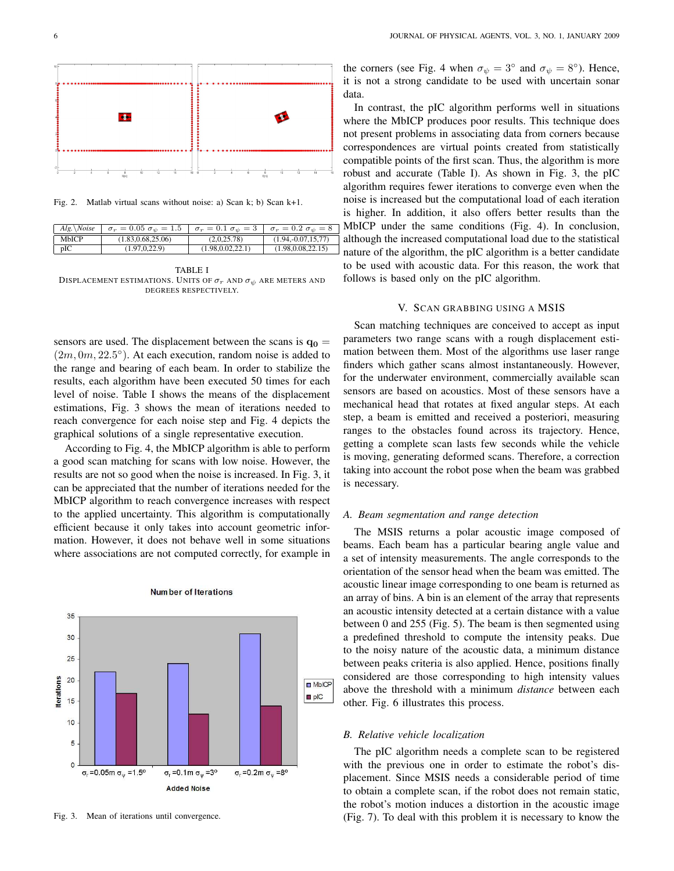

Fig. 2. Matlab virtual scans without noise: a) Scan k; b) Scan k+1.

| $Alg. \backslash Noise$ | $\sigma_r = 0.05 \sigma_{\psi} = 1.5$ | $\sigma_r = 0.1 \sigma_{\psi} = 3 \left[ \sigma_r = 0.2 \sigma_{\psi} = 8 \right]$ |                      |
|-------------------------|---------------------------------------|------------------------------------------------------------------------------------|----------------------|
| <b>MbICP</b>            | (1.83.0.68.25.06)                     | (2.0.25.78)                                                                        | $(1.94,-0.07,15,77)$ |
| pIC                     | (1.97.0.22.9)                         | (1.98.0.02.22.1)                                                                   | (1.98, 0.08, 22.15)  |

TABLE I DISPLACEMENT ESTIMATIONS. UNITS OF  $\sigma_r$  and  $\sigma_\psi$  are meters and DEGREES RESPECTIVELY.

sensors are used. The displacement between the scans is  $q_0 =$  $(2m, 0m, 22.5^{\circ})$ . At each execution, random noise is added to the range and bearing of each beam. In order to stabilize the results, each algorithm have been executed 50 times for each level of noise. Table I shows the means of the displacement estimations, Fig. 3 shows the mean of iterations needed to reach convergence for each noise step and Fig. 4 depicts the graphical solutions of a single representative execution.

According to Fig. 4, the MbICP algorithm is able to perform a good scan matching for scans with low noise. However, the results are not so good when the noise is increased. In Fig. 3, it can be appreciated that the number of iterations needed for the MbICP algorithm to reach convergence increases with respect to the applied uncertainty. This algorithm is computationally efficient because it only takes into account geometric information. However, it does not behave well in some situations where associations are not computed correctly, for example in



#### **Number of Iterations**

Fig. 3. Mean of iterations until convergence.

the corners (see Fig. 4 when  $\sigma_{\psi} = 3^{\circ}$  and  $\sigma_{\psi} = 8^{\circ}$ ). Hence, it is not a strong candidate to be used with uncertain sonar data.

In contrast, the pIC algorithm performs well in situations where the MbICP produces poor results. This technique does not present problems in associating data from corners because correspondences are virtual points created from statistically compatible points of the first scan. Thus, the algorithm is more robust and accurate (Table I). As shown in Fig. 3, the pIC algorithm requires fewer iterations to converge even when the noise is increased but the computational load of each iteration is higher. In addition, it also offers better results than the MbICP under the same conditions (Fig. 4). In conclusion, although the increased computational load due to the statistical nature of the algorithm, the pIC algorithm is a better candidate to be used with acoustic data. For this reason, the work that follows is based only on the pIC algorithm.

#### V. SCAN GRABBING USING A MSIS

Scan matching techniques are conceived to accept as input parameters two range scans with a rough displacement estimation between them. Most of the algorithms use laser range finders which gather scans almost instantaneously. However, for the underwater environment, commercially available scan sensors are based on acoustics. Most of these sensors have a mechanical head that rotates at fixed angular steps. At each step, a beam is emitted and received a posteriori, measuring ranges to the obstacles found across its trajectory. Hence, getting a complete scan lasts few seconds while the vehicle is moving, generating deformed scans. Therefore, a correction taking into account the robot pose when the beam was grabbed is necessary.

#### *A. Beam segmentation and range detection*

The MSIS returns a polar acoustic image composed of beams. Each beam has a particular bearing angle value and a set of intensity measurements. The angle corresponds to the orientation of the sensor head when the beam was emitted. The acoustic linear image corresponding to one beam is returned as an array of bins. A bin is an element of the array that represents an acoustic intensity detected at a certain distance with a value between 0 and 255 (Fig. 5). The beam is then segmented using a predefined threshold to compute the intensity peaks. Due to the noisy nature of the acoustic data, a minimum distance between peaks criteria is also applied. Hence, positions finally considered are those corresponding to high intensity values above the threshold with a minimum *distance* between each other. Fig. 6 illustrates this process.

## *B. Relative vehicle localization*

The pIC algorithm needs a complete scan to be registered with the previous one in order to estimate the robot's displacement. Since MSIS needs a considerable period of time to obtain a complete scan, if the robot does not remain static, the robot's motion induces a distortion in the acoustic image (Fig. 7). To deal with this problem it is necessary to know the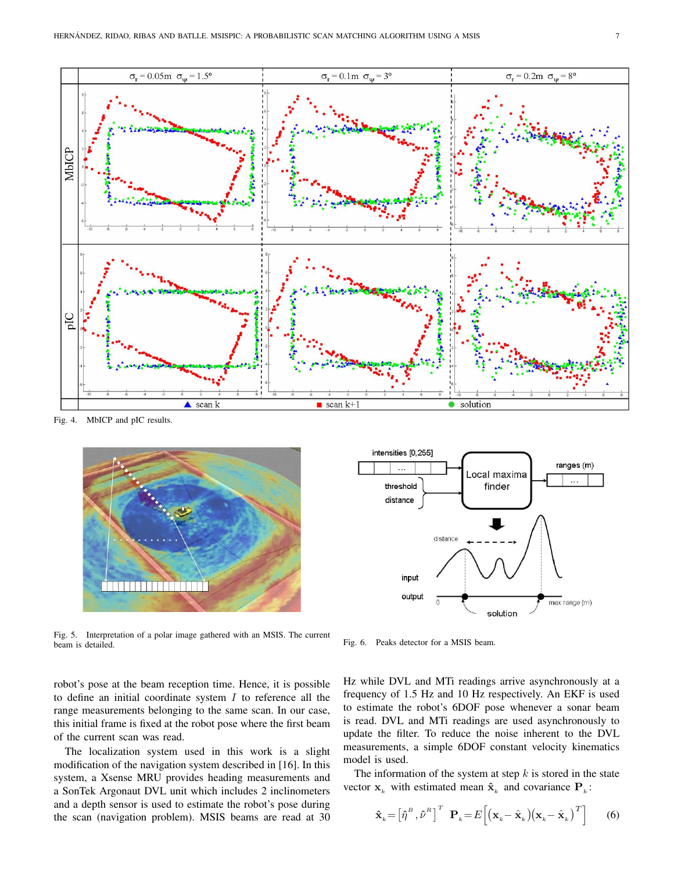

Fig. 4. MbICP and pIC results.



Fig. 5. Interpretation of a polar image gathered with an MSIS. The current beam is detailed.



Fig. 6. Peaks detector for a MSIS beam.

robot's pose at the beam reception time. Hence, it is possible to define an initial coordinate system  $I$  to reference all the range measurements belonging to the same scan. In our case, this initial frame is fixed at the robot pose where the first beam of the current scan was read.

The localization system used in this work is a slight modification of the navigation system described in [16]. In this system, a Xsense MRU provides heading measurements and a SonTek Argonaut DVL unit which includes 2 inclinometers and a depth sensor is used to estimate the robot's pose during the scan (navigation problem). MSIS beams are read at 30 Hz while DVL and MTi readings arrive asynchronously at a frequency of 1.5 Hz and 10 Hz respectively. An EKF is used to estimate the robot's 6DOF pose whenever a sonar beam is read. DVL and MTi readings are used asynchronously to update the filter. To reduce the noise inherent to the DVL measurements, a simple 6DOF constant velocity kinematics model is used.

The information of the system at step  $k$  is stored in the state vector  $\mathbf{x}_k$  with estimated mean  $\hat{\mathbf{x}}_k$  and covariance  $\mathbf{P}_k$ :

$$
\hat{\mathbf{x}}_k = \left[\hat{\eta}^B, \hat{\nu}^B\right]^T \ \mathbf{P}_k = E\left[\left(\mathbf{x}_k - \hat{\mathbf{x}}_k\right)\left(\mathbf{x}_k - \hat{\mathbf{x}}_k\right)^T\right] \tag{6}
$$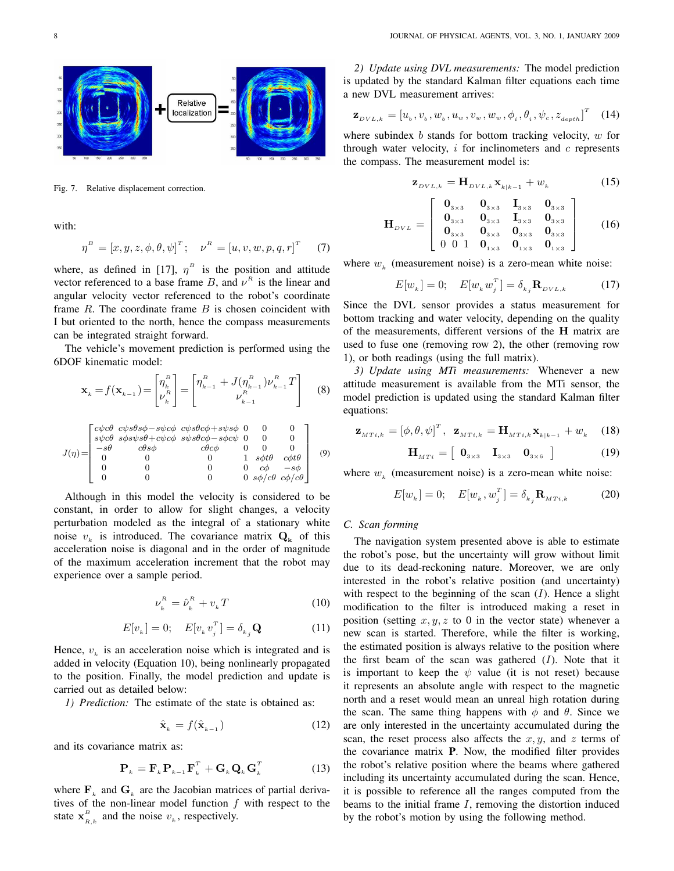

Fig. 7. Relative displacement correction.

with:

$$
\eta^{B} = [x, y, z, \phi, \theta, \psi]^{T}; \quad \nu^{R} = [u, v, w, p, q, r]^{T} \tag{7}
$$

where, as defined in [17],  $\eta^B$  is the position and attitude vector referenced to a base frame B, and  $\nu^R$  is the linear and angular velocity vector referenced to the robot's coordinate frame  $R$ . The coordinate frame  $B$  is chosen coincident with I but oriented to the north, hence the compass measurements can be integrated straight forward.

The vehicle's movement prediction is performed using the 6DOF kinematic model:

$$
\mathbf{x}_{k} = f(\mathbf{x}_{k-1}) = \begin{bmatrix} \eta_{k}^{B} \\ \nu_{k}^{B} \end{bmatrix} = \begin{bmatrix} \eta_{k-1}^{B} + J(\eta_{k-1}^{B})\nu_{k-1}^{B} T \\ \nu_{k-1}^{B} \end{bmatrix}
$$
 (8)

$$
J(\eta) = \begin{bmatrix} c\psi c\theta & c\psi s\theta s\phi - s\psi c\phi & c\psi s\theta c\phi + s\psi s\phi & 0 & 0 & 0 \\ s\psi c\theta & s\phi s\psi s\theta + c\psi c\phi & s\psi s\theta c\phi - s\phi c\psi & 0 & 0 & 0 \\ -s\theta & c\theta s\phi & c\theta c\phi & 0 & 0 & 0 \\ 0 & 0 & 0 & 1 & s\phi t\theta & c\phi t\theta \\ 0 & 0 & 0 & 0 & c\phi & -s\phi \\ 0 & 0 & 0 & 0 & s\phi/c\theta & c\phi/c\theta \end{bmatrix} \quad (9)
$$

Although in this model the velocity is considered to be constant, in order to allow for slight changes, a velocity perturbation modeled as the integral of a stationary white noise  $v_k$  is introduced. The covariance matrix  $\mathbf{Q}_k$  of this acceleration noise is diagonal and in the order of magnitude of the maximum acceleration increment that the robot may experience over a sample period.

$$
\nu_k^R = \hat{\nu}_k^R + v_k T \tag{10}
$$

$$
E[v_k] = 0; \quad E[v_k v_j^T] = \delta_{kj} \mathbf{Q} \tag{11}
$$

Hence,  $v_k$  is an acceleration noise which is integrated and is added in velocity (Equation 10), being nonlinearly propagated to the position. Finally, the model prediction and update is carried out as detailed below:

*1) Prediction:* The estimate of the state is obtained as:

$$
\hat{\mathbf{x}}_k = f(\hat{\mathbf{x}}_{k-1}) \tag{12}
$$

and its covariance matrix as:

$$
\mathbf{P}_{k} = \mathbf{F}_{k} \mathbf{P}_{k-1} \mathbf{F}_{k}^{T} + \mathbf{G}_{k} \mathbf{Q}_{k} \mathbf{G}_{k}^{T}
$$
 (13)

where  $\mathbf{F}_k$  and  $\mathbf{G}_k$  are the Jacobian matrices of partial derivatives of the non-linear model function  $f$  with respect to the state  $\mathbf{x}_{B}^{B}$  $E_{R,k}$  and the noise  $v_k$ , respectively.

*2) Update using DVL measurements:* The model prediction is updated by the standard Kalman filter equations each time a new DVL measurement arrives:

$$
\mathbf{z}_{DVL,k} = [u_b, v_b, w_b, u_w, v_w, w_w, \phi_i, \theta_i, \psi_c, z_{depth}]^T \quad (14)
$$

where subindex  $b$  stands for bottom tracking velocity,  $w$  for through water velocity,  $i$  for inclinometers and  $c$  represents the compass. The measurement model is:

$$
\mathbf{z}_{DVL,k} = \mathbf{H}_{DVL,k} \mathbf{x}_{k|k-1} + w_k \tag{15}
$$

$$
\mathbf{H}_{DVL} = \left[ \begin{array}{cccc} \mathbf{0}_{3\times3} & \mathbf{0}_{3\times3} & \mathbf{I}_{3\times3} & \mathbf{0}_{3\times3} \\ \mathbf{0}_{3\times3} & \mathbf{0}_{3\times3} & \mathbf{I}_{3\times3} & \mathbf{0}_{3\times3} \\ \mathbf{0}_{3\times3} & \mathbf{0}_{3\times3} & \mathbf{0}_{3\times3} & \mathbf{0}_{3\times3} \\ 0 & 0 & 1 & \mathbf{0}_{1\times3} & \mathbf{0}_{1\times3} & \mathbf{0}_{1\times3} \end{array} \right] \tag{16}
$$

where  $w_k$  (measurement noise) is a zero-mean white noise:

$$
E[w_k] = 0; \quad E[w_k w_j^T] = \delta_{kj} \mathbf{R}_{DVL,k} \tag{17}
$$

Since the DVL sensor provides a status measurement for bottom tracking and water velocity, depending on the quality of the measurements, different versions of the H matrix are used to fuse one (removing row 2), the other (removing row 1), or both readings (using the full matrix).

*3) Update using MTi measurements:* Whenever a new attitude measurement is available from the MTi sensor, the model prediction is updated using the standard Kalman filter equations:

$$
\mathbf{z}_{\scriptscriptstyle MTi,k} = [\phi, \theta, \psi]^{\scriptscriptstyle T}, \quad \mathbf{z}_{\scriptscriptstyle MTi,k} = \mathbf{H}_{\scriptscriptstyle MTi,k} \mathbf{x}_{\scriptscriptstyle k|k-1} + w_k \quad (18)
$$

$$
\mathbf{H}_{MTi} = \begin{bmatrix} \mathbf{0}_{3\times 3} & \mathbf{I}_{3\times 3} & \mathbf{0}_{3\times 6} \end{bmatrix} \tag{19}
$$

where  $w_k$  (measurement noise) is a zero-mean white noise:

$$
E[w_k] = 0; \quad E[w_k, w_j^T] = \delta_{kj} \mathbf{R}_{MTi,k} \tag{20}
$$

## *C. Scan forming*

The navigation system presented above is able to estimate the robot's pose, but the uncertainty will grow without limit due to its dead-reckoning nature. Moreover, we are only interested in the robot's relative position (and uncertainty) with respect to the beginning of the scan  $(I)$ . Hence a slight modification to the filter is introduced making a reset in position (setting  $x, y, z$  to 0 in the vector state) whenever a new scan is started. Therefore, while the filter is working, the estimated position is always relative to the position where the first beam of the scan was gathered  $(I)$ . Note that it is important to keep the  $\psi$  value (it is not reset) because it represents an absolute angle with respect to the magnetic north and a reset would mean an unreal high rotation during the scan. The same thing happens with  $\phi$  and  $\theta$ . Since we are only interested in the uncertainty accumulated during the scan, the reset process also affects the  $x, y$ , and z terms of the covariance matrix P. Now, the modified filter provides the robot's relative position where the beams where gathered including its uncertainty accumulated during the scan. Hence, it is possible to reference all the ranges computed from the beams to the initial frame  $I$ , removing the distortion induced by the robot's motion by using the following method.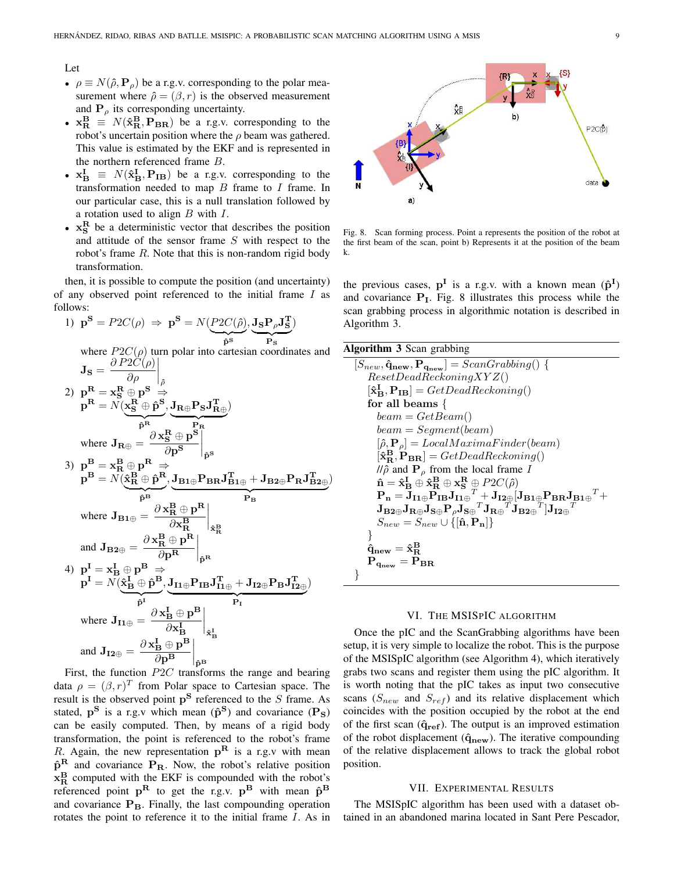#### Let

- $\rho \equiv N(\hat{\rho}, \mathbf{P}_{\rho})$  be a r.g.v. corresponding to the polar measurement where  $\hat{\rho} = (\beta, r)$  is the observed measurement and  $P_{\rho}$  its corresponding uncertainty.
- $x_{\rm R}^{\rm B} \equiv N(\hat{x}_{\rm R}^{\rm B}, {\rm P}_{\rm BR})$  be a r.g.v. corresponding to the robot's uncertain position where the  $\rho$  beam was gathered. This value is estimated by the EKF and is represented in the northern referenced frame B.
- $x_{\text{B}}^{\text{I}} \equiv N(\hat{x}_{\text{B}}^{\text{I}}, \mathbf{P}_{\text{IB}})$  be a r.g.v. corresponding to the transformation needed to map  $B$  frame to  $I$  frame. In our particular case, this is a null translation followed by a rotation used to align  $B$  with  $I$ .
- $x_S^R$  be a deterministic vector that describes the position and attitude of the sensor frame  $S$  with respect to the robot's frame  $R$ . Note that this is non-random rigid body transformation.

then, it is possible to compute the position (and uncertainty) of any observed point referenced to the initial frame I as follows:

1) 
$$
\mathbf{p}^{\mathbf{S}} = P2C(\rho) \Rightarrow \mathbf{p}^{\mathbf{S}} = N(\underbrace{P2C(\hat{\rho})}_{\hat{\mathbf{p}}^{\mathbf{S}}}, \underbrace{\mathbf{J}_{\mathbf{S}} \mathbf{P}_{\rho} \mathbf{J}_{\mathbf{S}}^{\mathbf{T}}}_{\hat{\mathbf{P}}^{\mathbf{S}}})
$$
  
\nwhere  $P2C(\rho)$  turn polar into cartesian coordinates and  
\n
$$
\mathbf{J}_{\mathbf{S}} = \frac{\partial P2C(\rho)}{\partial \rho}\Big|_{\hat{\rho}}
$$
  
\n2)  $\mathbf{p}^{\mathbf{R}} = \mathbf{x}_{\mathbf{S}}^{\mathbf{R}} \oplus \mathbf{p}^{\mathbf{S}} \Rightarrow$   
\n $\mathbf{p}^{\mathbf{R}} = N(\underbrace{\mathbf{x}_{\mathbf{S}}^{\mathbf{R}} \oplus \mathbf{\hat{p}}^{\mathbf{S}}}_{\hat{\mathbf{P}}^{\mathbf{R}}}, \underbrace{\mathbf{J}_{\mathbf{R}\oplus} \mathbf{P}_{\mathbf{S}} \mathbf{J}_{\mathbf{R}\oplus}^{\mathbf{T}}}_{\hat{\mathbf{P}}^{\mathbf{R}}})$   
\n3)  $\mathbf{p}^{\mathbf{B}} = \mathbf{x}_{\mathbf{R}}^{\mathbf{B}} \oplus \mathbf{p}^{\mathbf{R}} \Rightarrow$   
\n $\mathbf{p}^{\mathbf{B}} = N(\hat{\mathbf{x}}_{\mathbf{R}}^{\mathbf{B}} \oplus \mathbf{\hat{p}}^{\mathbf{B}}, \underbrace{\mathbf{J}_{\mathbf{B1}\oplus} \mathbf{P}_{\mathbf{B}\mathbf{R}} \mathbf{J}_{\mathbf{B1}\oplus}^{\mathbf{T}} + \mathbf{J}_{\mathbf{B2}\oplus} \mathbf{P}_{\mathbf{R}} \mathbf{J}_{\mathbf{B2}\oplus}^{\mathbf{T}})$   
\nwhere  $\mathbf{J}_{\mathbf{B1}\oplus} = \frac{\partial \mathbf{x}_{\mathbf{R}}^{\mathbf{R}} \oplus \mathbf{p}^{\mathbf{R}}}{\partial \mathbf{x}_{\mathbf{R}}^{\mathbf{B}}}$   
\nand  $\mathbf{J}_{\mathbf{B2}\oplus} = \frac{\partial \mathbf{x}_{\mathbf{R}}^{\mathbf{R$ 

 $\begin{array}{cc}\n\overline{op} & \phantom{op}|\mathbf{p}^{\text{B}}\n\end{array}$ <br>First, the function  $P2C$  transforms the range and bearing data  $\rho = (\beta, r)^T$  from Polar space to Cartesian space. The result is the observed point  $p^S$  referenced to the S frame. As stated,  $p^S$  is a r.g.v which mean  $(\hat{p}^S)$  and covariance  $(P_S)$ can be easily computed. Then, by means of a rigid body transformation, the point is referenced to the robot's frame R. Again, the new representation  $p^R$  is a r.g.v with mean  $\hat{p}^R$  and covariance  $P_R$ . Now, the robot's relative position  $x_R^B$  computed with the EKF is compounded with the robot's referenced point  $p^R$  to get the r.g.v.  $p^B$  with mean  $\hat{p}^B$ and covariance  $P_B$ . Finally, the last compounding operation rotates the point to reference it to the initial frame I. As in



Fig. 8. Scan forming process. Point a represents the position of the robot at the first beam of the scan, point b) Represents it at the position of the beam k.

the previous cases,  $p^I$  is a r.g.v. with a known mean  $(\hat{p}^I)$ and covariance  $P<sub>I</sub>$ . Fig. 8 illustrates this process while the scan grabbing process in algorithmic notation is described in Algorithm 3.

| <b>Algorithm 3</b> Scan grabbing                                                                                                                                                                                                                                                           |
|--------------------------------------------------------------------------------------------------------------------------------------------------------------------------------------------------------------------------------------------------------------------------------------------|
| $[S_{new}, \hat{\mathbf{q}}_{new}, \mathbf{P}_{\mathbf{q}_{new}}] =$ $ScanGraphing() \{$                                                                                                                                                                                                   |
| ResearchReckoning XYZ()                                                                                                                                                                                                                                                                    |
| $[\hat{\mathbf{x}}_{\mathbf{B}}^{\mathbf{I}}, \mathbf{P}_{\mathbf{IB}}] = GetDeadReckoning()$                                                                                                                                                                                              |
| for all beams $\{$                                                                                                                                                                                                                                                                         |
| $beam = GetBeam()$                                                                                                                                                                                                                                                                         |
| $beam = Segment(beam)$                                                                                                                                                                                                                                                                     |
| $[\hat{\rho}, \mathbf{P}_{\rho}] = LocalMaximaFinder(beam)$                                                                                                                                                                                                                                |
| $[\mathbf{\hat{x}_{B}^{B}}, \mathbf{P}_{BR}] = GetDeadReckoning()$                                                                                                                                                                                                                         |
| $\pi/\hat{\rho}$ and $\mathbf{P}_{\rho}$ from the local frame I                                                                                                                                                                                                                            |
| $\hat{\mathbf{n}} = \hat{\mathbf{x}}_B^{\mathbf{I}} \oplus \hat{\mathbf{x}}_B^{\mathbf{B}} \oplus \mathbf{x}_S^{\mathbf{R}} \oplus P2C(\hat{\rho})$                                                                                                                                        |
| $\mathbf{P_n} = \mathbf{\widetilde{J}_{I1\oplus}\widetilde{P_{IB}}}\mathbf{J_{I1\oplus}}^T \mathbf{\widetilde{\perp}} + \mathbf{J_{I2\oplus}} [\mathbf{J_{B1\oplus}P_{BR}}\mathbf{J_{B1\oplus}}^T +$                                                                                       |
| $\mathbf{J}_{\mathbf{B2}\oplus}\mathbf{J}_{\mathbf{R}\oplus}\mathbf{J}_{\mathbf{S}\oplus}\mathbf{P}_{\rho}\mathbf{J}_{\mathbf{S}\oplus}^{-\mathit{T}}\mathbf{J}_{\mathbf{R}\oplus}^{-\mathit{T}}\mathbf{J}_{\mathbf{B2}\oplus}^{-\mathit{T}} \mathbf{J}_{\mathbf{I2}\oplus}^{-\mathit{T}}$ |
| $S_{new} = S_{new} \cup \{[\hat{\mathbf{n}}, \mathbf{P}_{\mathbf{n}}]\}$                                                                                                                                                                                                                   |
|                                                                                                                                                                                                                                                                                            |
| $\hat{\mathbf{q}}_{\mathbf{new}} = \hat{\mathbf{x}}_{\mathbf{R}}^{\mathbf{B}}$                                                                                                                                                                                                             |
| $P_{q_{new}} = P_{BR}$                                                                                                                                                                                                                                                                     |
|                                                                                                                                                                                                                                                                                            |

#### VI. THE MSISPIC ALGORITHM

Once the pIC and the ScanGrabbing algorithms have been setup, it is very simple to localize the robot. This is the purpose of the MSISpIC algorithm (see Algorithm 4), which iteratively grabs two scans and register them using the pIC algorithm. It is worth noting that the pIC takes as input two consecutive scans ( $S_{new}$  and  $S_{ref}$ ) and its relative displacement which coincides with the position occupied by the robot at the end of the first scan  $(\hat{\mathbf{q}}_{\text{ref}})$ . The output is an improved estimation of the robot displacement  $(\hat{q}_{new})$ . The iterative compounding of the relative displacement allows to track the global robot position.

#### VII. EXPERIMENTAL RESULTS

The MSISpIC algorithm has been used with a dataset obtained in an abandoned marina located in Sant Pere Pescador,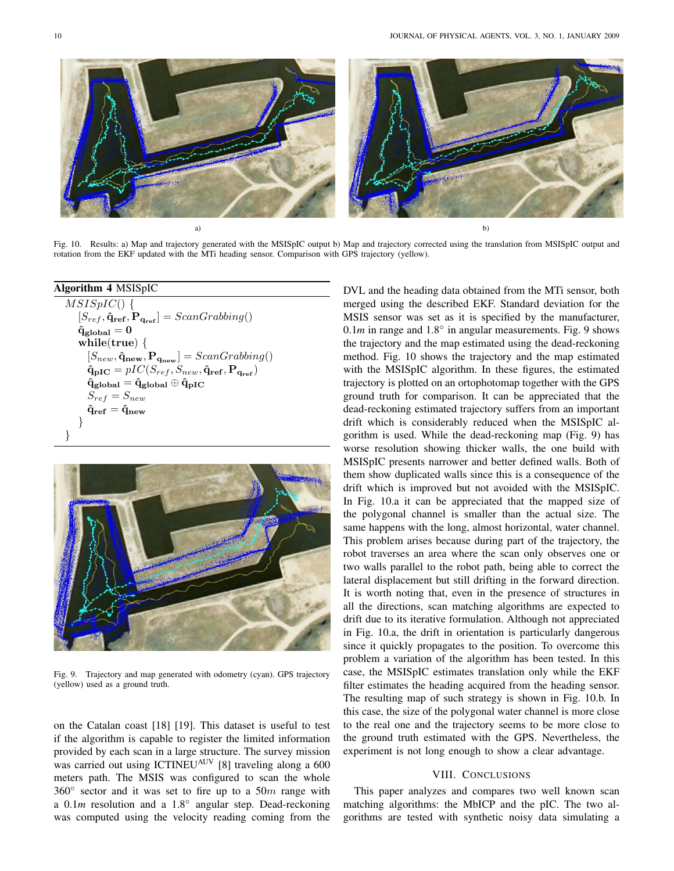

Fig. 10. Results: a) Map and trajectory generated with the MSISpIC output b) Map and trajectory corrected using the translation from MSISpIC output and rotation from the EKF updated with the MTi heading sensor. Comparison with GPS trajectory (yellow).

## Algorithm 4 MSISpIC  $\overline{MSISpIC()}$  {  $[S_{ref}, \hat{\mathbf{q}}_{ref}, \hat{\mathbf{P}}_{q_{ref}}] = ScanGraphing($  $\hat{\mathbf{q}}_{\text{global}} = \mathbf{0}$ while(true) {  $[S_{new}, \hat{\mathbf{q}}_{new}, \mathbf{P}_{\mathbf{q}_{new}}] = ScanGraphing()$  $\hat{\mathbf{q}}_{\text{pIC}} = pIC(S_{ref}, S_{new}, \hat{\mathbf{q}}_{\text{ref}}, \mathbf{P}_{\mathbf{q}_{\text{ref}}})$  $\hat{\mathbf{q}}_{\text{global}} = \hat{\mathbf{q}}_{\text{global}} \oplus \hat{\mathbf{q}}_{\text{pIC}}$  $S_{ref} = S_{new}$  $\mathbf{\hat{q}}_{\textbf{ref}} = \mathbf{\hat{q}}_{\textbf{new}}$ } }



Fig. 9. Trajectory and map generated with odometry (cyan). GPS trajectory (yellow) used as a ground truth.

on the Catalan coast [18] [19]. This dataset is useful to test if the algorithm is capable to register the limited information provided by each scan in a large structure. The survey mission was carried out using ICTINEU<sup>AUV</sup> [8] traveling along a 600 meters path. The MSIS was configured to scan the whole 360 $\degree$  sector and it was set to fire up to a 50m range with a 0.1*m* resolution and a 1.8° angular step. Dead-reckoning was computed using the velocity reading coming from the

DVL and the heading data obtained from the MTi sensor, both merged using the described EKF. Standard deviation for the MSIS sensor was set as it is specified by the manufacturer,  $0.1m$  in range and  $1.8^\circ$  in angular measurements. Fig. 9 shows the trajectory and the map estimated using the dead-reckoning method. Fig. 10 shows the trajectory and the map estimated with the MSISpIC algorithm. In these figures, the estimated trajectory is plotted on an ortophotomap together with the GPS ground truth for comparison. It can be appreciated that the dead-reckoning estimated trajectory suffers from an important drift which is considerably reduced when the MSISpIC algorithm is used. While the dead-reckoning map (Fig. 9) has worse resolution showing thicker walls, the one build with MSISpIC presents narrower and better defined walls. Both of them show duplicated walls since this is a consequence of the drift which is improved but not avoided with the MSISpIC. In Fig. 10.a it can be appreciated that the mapped size of the polygonal channel is smaller than the actual size. The same happens with the long, almost horizontal, water channel. This problem arises because during part of the trajectory, the robot traverses an area where the scan only observes one or two walls parallel to the robot path, being able to correct the lateral displacement but still drifting in the forward direction. It is worth noting that, even in the presence of structures in all the directions, scan matching algorithms are expected to drift due to its iterative formulation. Although not appreciated in Fig. 10.a, the drift in orientation is particularly dangerous since it quickly propagates to the position. To overcome this problem a variation of the algorithm has been tested. In this case, the MSISpIC estimates translation only while the EKF filter estimates the heading acquired from the heading sensor. The resulting map of such strategy is shown in Fig. 10.b. In this case, the size of the polygonal water channel is more close to the real one and the trajectory seems to be more close to the ground truth estimated with the GPS. Nevertheless, the experiment is not long enough to show a clear advantage.

## VIII. CONCLUSIONS

This paper analyzes and compares two well known scan matching algorithms: the MbICP and the pIC. The two algorithms are tested with synthetic noisy data simulating a